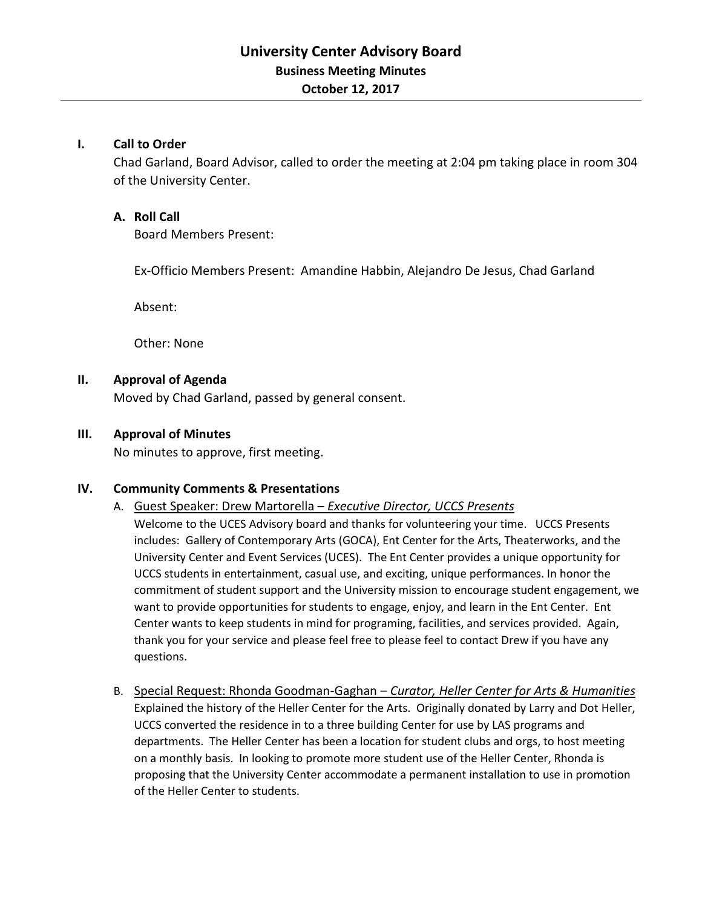### **I. Call to Order**

Chad Garland, Board Advisor, called to order the meeting at 2:04 pm taking place in room 304 of the University Center.

## **A. Roll Call**

Board Members Present:

Ex-Officio Members Present: Amandine Habbin, Alejandro De Jesus, Chad Garland

Absent:

Other: None

#### **II. Approval of Agenda**

Moved by Chad Garland, passed by general consent.

#### **III. Approval of Minutes**

No minutes to approve, first meeting.

#### **IV. Community Comments & Presentations**

A. Guest Speaker: Drew Martorella – *Executive Director, UCCS Presents*

Welcome to the UCES Advisory board and thanks for volunteering your time. UCCS Presents includes: Gallery of Contemporary Arts (GOCA), Ent Center for the Arts, Theaterworks, and the University Center and Event Services (UCES). The Ent Center provides a unique opportunity for UCCS students in entertainment, casual use, and exciting, unique performances. In honor the commitment of student support and the University mission to encourage student engagement, we want to provide opportunities for students to engage, enjoy, and learn in the Ent Center. Ent Center wants to keep students in mind for programing, facilities, and services provided. Again, thank you for your service and please feel free to please feel to contact Drew if you have any questions.

B. Special Request: Rhonda Goodman-Gaghan – *Curator, Heller Center for Arts & Humanities* Explained the history of the Heller Center for the Arts. Originally donated by Larry and Dot Heller, UCCS converted the residence in to a three building Center for use by LAS programs and departments. The Heller Center has been a location for student clubs and orgs, to host meeting on a monthly basis. In looking to promote more student use of the Heller Center, Rhonda is proposing that the University Center accommodate a permanent installation to use in promotion of the Heller Center to students.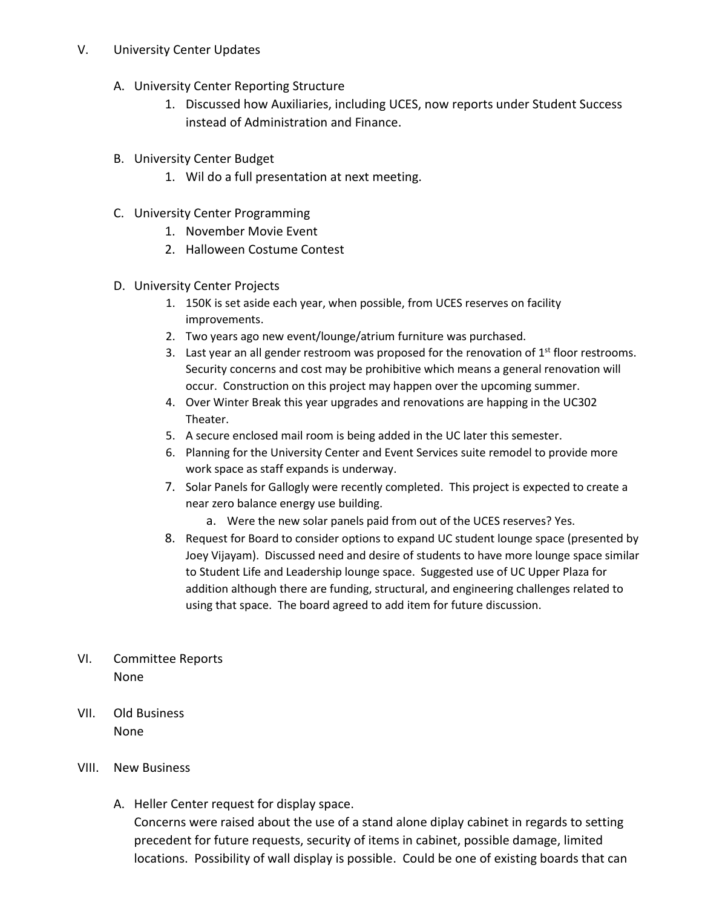## V. University Center Updates

- A. University Center Reporting Structure
	- 1. Discussed how Auxiliaries, including UCES, now reports under Student Success instead of Administration and Finance.
- B. University Center Budget
	- 1. Wil do a full presentation at next meeting.
- C. University Center Programming
	- 1. November Movie Event
	- 2. Halloween Costume Contest
- D. University Center Projects
	- 1. 150K is set aside each year, when possible, from UCES reserves on facility improvements.
	- 2. Two years ago new event/lounge/atrium furniture was purchased.
	- 3. Last year an all gender restroom was proposed for the renovation of  $1<sup>st</sup>$  floor restrooms. Security concerns and cost may be prohibitive which means a general renovation will occur. Construction on this project may happen over the upcoming summer.
	- 4. Over Winter Break this year upgrades and renovations are happing in the UC302 Theater.
	- 5. A secure enclosed mail room is being added in the UC later this semester.
	- 6. Planning for the University Center and Event Services suite remodel to provide more work space as staff expands is underway.
	- 7. Solar Panels for Gallogly were recently completed. This project is expected to create a near zero balance energy use building.
		- a. Were the new solar panels paid from out of the UCES reserves? Yes.
	- 8. Request for Board to consider options to expand UC student lounge space (presented by Joey Vijayam). Discussed need and desire of students to have more lounge space similar to Student Life and Leadership lounge space. Suggested use of UC Upper Plaza for addition although there are funding, structural, and engineering challenges related to using that space. The board agreed to add item for future discussion.
- VI. Committee Reports None
- VII. Old Business None
- VIII. New Business
	- A. Heller Center request for display space.

Concerns were raised about the use of a stand alone diplay cabinet in regards to setting precedent for future requests, security of items in cabinet, possible damage, limited locations. Possibility of wall display is possible. Could be one of existing boards that can